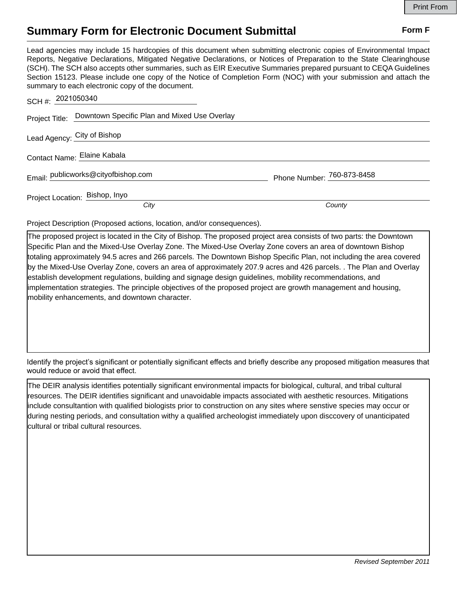## **Summary Form for Electronic Document Submittal Form F Form F**

Lead agencies may include 15 hardcopies of this document when submitting electronic copies of Environmental Impact Reports, Negative Declarations, Mitigated Negative Declarations, or Notices of Preparation to the State Clearinghouse (SCH). The SCH also accepts other summaries, such as EIR Executive Summaries prepared pursuant to CEQA Guidelines Section 15123. Please include one copy of the Notice of Completion Form (NOC) with your submission and attach the summary to each electronic copy of the document.

| SCH #: 2021050340                                           |                            |
|-------------------------------------------------------------|----------------------------|
| Project Title: Downtown Specific Plan and Mixed Use Overlay |                            |
| Lead Agency: City of Bishop                                 |                            |
| Contact Name: Elaine Kabala                                 |                            |
| Email: publicworks@cityofbishop.com                         | Phone Number: 760-873-8458 |
| Project Location: Bishop, Inyo                              |                            |
| City                                                        | County                     |

Project Description (Proposed actions, location, and/or consequences).

The proposed project is located in the City of Bishop. The proposed project area consists of two parts: the Downtown Specific Plan and the Mixed-Use Overlay Zone. The Mixed-Use Overlay Zone covers an area of downtown Bishop totaling approximately 94.5 acres and 266 parcels. The Downtown Bishop Specific Plan, not including the area covered by the Mixed-Use Overlay Zone, covers an area of approximately 207.9 acres and 426 parcels. . The Plan and Overlay establish development regulations, building and signage design guidelines, mobility recommendations, and implementation strategies. The principle objectives of the proposed project are growth management and housing, mobility enhancements, and downtown character.

Identify the project's significant or potentially significant effects and briefly describe any proposed mitigation measures that would reduce or avoid that effect.

The DEIR analysis identifies potentially significant environmental impacts for biological, cultural, and tribal cultural resources. The DEIR identifies significant and unavoidable impacts associated with aesthetic resources. Mitigations include consultantion with qualified biologists prior to construction on any sites where senstive species may occur or during nesting periods, and consultation withy a qualified archeologist immediately upon disccovery of unanticipated cultural or tribal cultural resources.